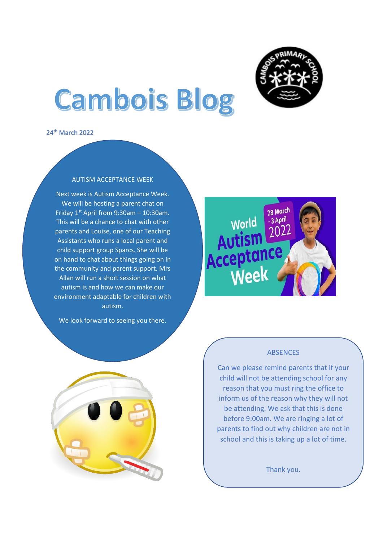

# **Cambois Blog**

24th March 2022

## AUTISM ACCEPTANCE WEEK

Next week is Autism Acceptance Week. We will be hosting a parent chat on Friday  $1^{st}$  April from 9:30am - 10:30am. This will be a chance to chat with other parents and Louise, one of our Teaching Assistants who runs a local parent and child support group Sparcs. She will be on hand to chat about things going on in the community and parent support. Mrs Allan will run a short session on what autism is and how we can make our environment adaptable for children with autism.

We look forward to seeing you there.





## ABSENCES

Can we please remind parents that if your child will not be attending school for any reason that you must ring the office to inform us of the reason why they will not be attending. We ask that this is done before 9:00am. We are ringing a lot of parents to find out why children are not in school and this is taking up a lot of time.

Thank you.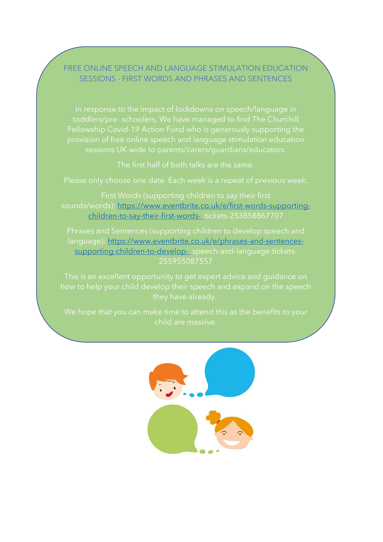## FREE ONLINE SPEECH AND LANGUAGE STIMULATION EDUCATION SESSIONS - FIRST WORDS AND PHRASES AND SENTENCES

In response to the impact of lockdowns on speech/language in

The first half of both talks are the same.

sounds/words): [https://www.eventbrite.co.uk/e/first-words-supporting](https://www.eventbrite.co.uk/e/first-words-supporting-children-to-say-their-first-words-)[children-to-say-their-first-words-](https://www.eventbrite.co.uk/e/first-words-supporting-children-to-say-their-first-words-) tickets-253858867707

language): [https://www.eventbrite.co.uk/e/phrases-and-sentences](https://www.eventbrite.co.uk/e/phrases-and-sentences-supporting-children-to-develop-)[supporting-children-to-develop-](https://www.eventbrite.co.uk/e/phrases-and-sentences-supporting-children-to-develop-) speech-and-language-tickets-255955087557

child are massive.

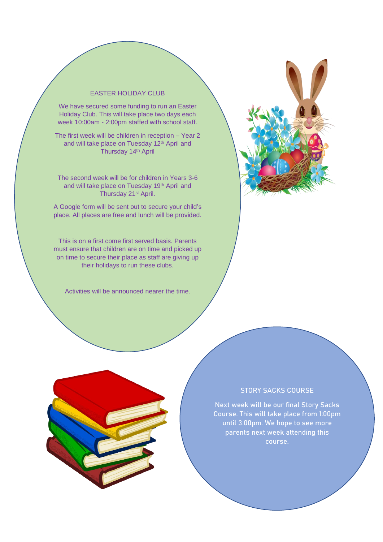#### EASTER HOLIDAY CLUB

We have secured some funding to run an Easter Holiday Club. This will take place two days each week 10:00am - 2:00pm staffed with school staff.

The first week will be children in reception – Year 2 and will take place on Tuesday 12<sup>th</sup> April and Thursday 14<sup>th</sup> April

The second week will be for children in Years 3-6 and will take place on Tuesday 19th April and Thursday 21st April.

A Google form will be sent out to secure your child's place. All places are free and lunch will be provided.

This is on a first come first served basis. Parents must ensure that children are on time and picked up on time to secure their place as staff are giving up their holidays to run these clubs.

Activities will be announced nearer the time.



### STORY SACKS COURSE

Next week will be our final Story Sacks Course. This will take place from 1:00pm until 3:00pm. We hope to see more parents next week attending this course.